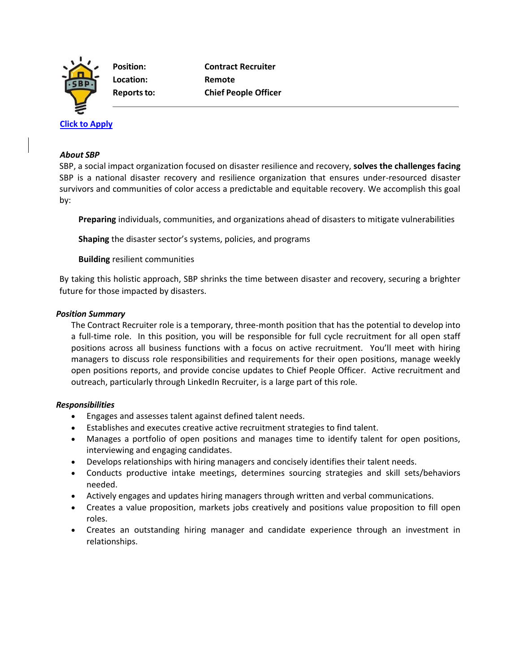

**Location: Remote**

# **[Click to Apply](https://recruiting.paylocity.com/recruiting/jobs/Apply/1103999/SBP/Contract-Recruiter-Temporary-Position)**

#### *About SBP*

SBP, a social impact organization focused on disaster resilience and recovery, **solves the challenges facing**  SBP is a national disaster recovery and resilience organization that ensures under-resourced disaster survivors and communities of color access a predictable and equitable recovery. We accomplish this goal by:

**Preparing** individuals, communities, and organizations ahead of disasters to mitigate vulnerabilities

**Shaping** the disaster sector's systems, policies, and programs

**Building** resilient communities

By taking this holistic approach, SBP shrinks the time between disaster and recovery, securing a brighter future for those impacted by disasters.

## *Position Summary*

The Contract Recruiter role is a temporary, three-month position that has the potential to develop into a full-time role. In this position, you will be responsible for full cycle recruitment for all open staff positions across all business functions with a focus on active recruitment. You'll meet with hiring managers to discuss role responsibilities and requirements for their open positions, manage weekly open positions reports, and provide concise updates to Chief People Officer. Active recruitment and outreach, particularly through LinkedIn Recruiter, is a large part of this role.

## *Responsibilities*

- Engages and assesses talent against defined talent needs.
- Establishes and executes creative active recruitment strategies to find talent.
- Manages a portfolio of open positions and manages time to identify talent for open positions, interviewing and engaging candidates.
- Develops relationships with hiring managers and concisely identifies their talent needs.
- Conducts productive intake meetings, determines sourcing strategies and skill sets/behaviors needed.
- Actively engages and updates hiring managers through written and verbal communications.
- Creates a value proposition, markets jobs creatively and positions value proposition to fill open roles.
- Creates an outstanding hiring manager and candidate experience through an investment in relationships.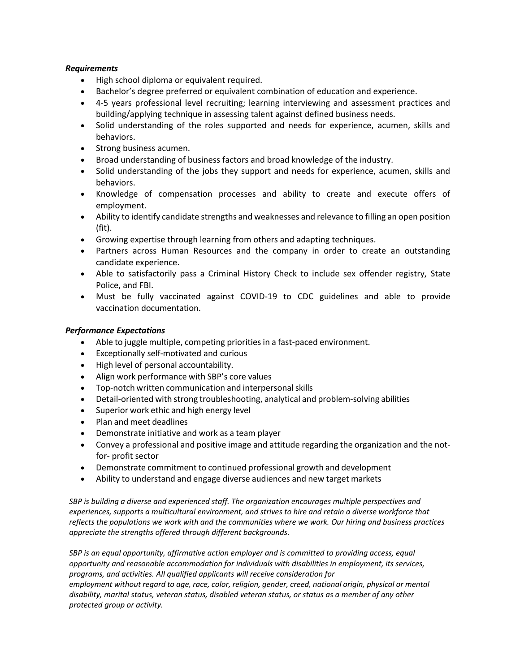## *Requirements*

- High school diploma or equivalent required.
- Bachelor's degree preferred or equivalent combination of education and experience.
- 4-5 years professional level recruiting; learning interviewing and assessment practices and building/applying technique in assessing talent against defined business needs.
- Solid understanding of the roles supported and needs for experience, acumen, skills and behaviors.
- Strong business acumen.
- Broad understanding of business factors and broad knowledge of the industry.
- Solid understanding of the jobs they support and needs for experience, acumen, skills and behaviors.
- Knowledge of compensation processes and ability to create and execute offers of employment.
- Ability to identify candidate strengths and weaknesses and relevance to filling an open position (fit).
- Growing expertise through learning from others and adapting techniques.
- Partners across Human Resources and the company in order to create an outstanding candidate experience.
- Able to satisfactorily pass a Criminal History Check to include sex offender registry, State Police, and FBI.
- Must be fully vaccinated against COVID-19 to CDC guidelines and able to provide vaccination documentation.

## *Performance Expectations*

- Able to juggle multiple, competing prioritiesin a fast-paced environment.
- Exceptionally self-motivated and curious
- High level of personal accountability.
- Align work performance with SBP's core values
- Top-notch written communication and interpersonalskills
- Detail-oriented with strong troubleshooting, analytical and problem-solving abilities
- Superior work ethic and high energy level
- Plan and meet deadlines
- Demonstrate initiative and work as a team player
- Convey a professional and positive image and attitude regarding the organization and the notfor- profit sector
- Demonstrate commitment to continued professional growth and development
- Ability to understand and engage diverse audiences and new target markets

*SBP is building a diverse and experienced staff. The organization encourages multiple perspectives and experiences, supports a multicultural environment, and strives to hire and retain a diverse workforce that reflects the populations we work with and the communities where we work. Our hiring and business practices appreciate the strengths offered through different backgrounds.*

*SBP is an equal opportunity, affirmative action employer and is committed to providing access, equal opportunity and reasonable accommodation for individuals with disabilities in employment, its services, programs, and activities. All qualified applicants will receive consideration for employment without regard to age, race, color, religion, gender, creed, national origin, physical or mental disability, marital status, veteran status, disabled veteran status, or status as a member of any other protected group or activity.*